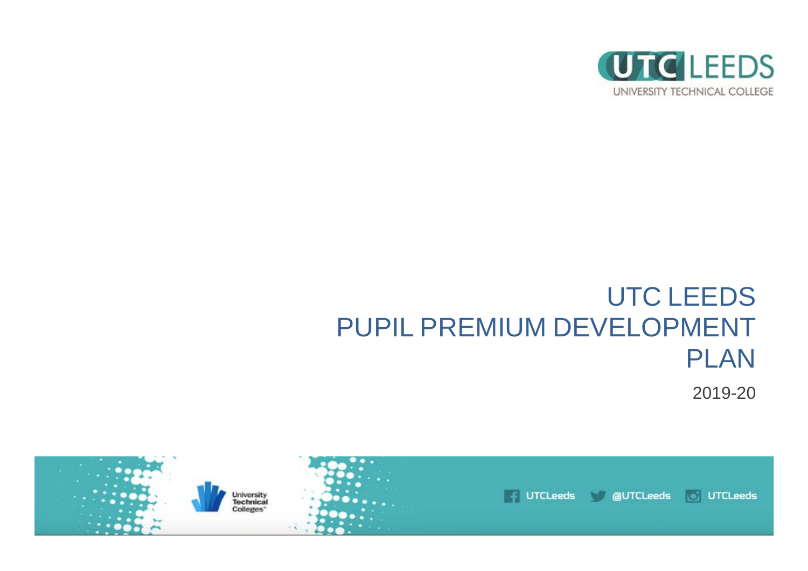

# UTC LEEDS PUPIL PREMIUM DEVELOPMENT PLAN

2019-20

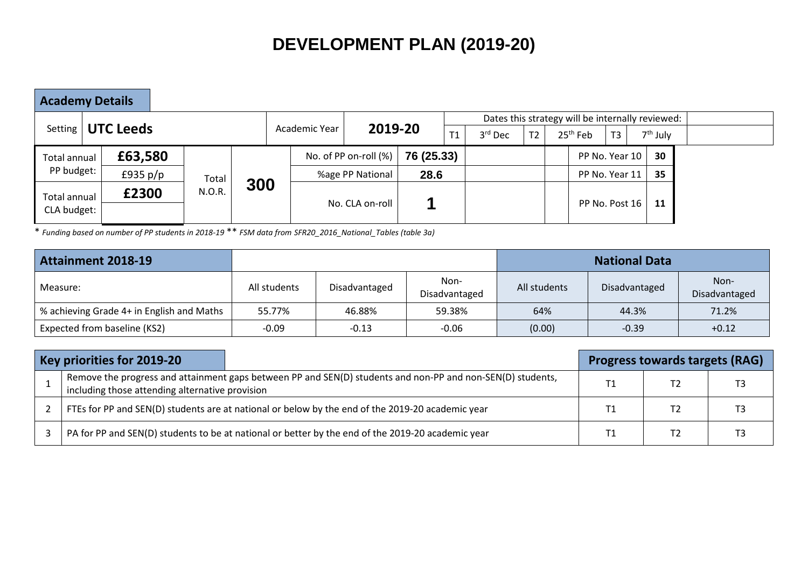# **DEVELOPMENT PLAN (2019-20)**

**Academy Details**

|                                    |                     |        |     |                          |                          |            |         |                |            |  |                |            | Dates this strategy will be internally reviewed: |  |
|------------------------------------|---------------------|--------|-----|--------------------------|--------------------------|------------|---------|----------------|------------|--|----------------|------------|--------------------------------------------------|--|
|                                    | Setting   UTC Leeds |        |     | 2019-20<br>Academic Year |                          | T1         | 3rd Dec | T <sub>2</sub> | $25th$ Feb |  | T3             | $7th$ July |                                                  |  |
| <b>Total annual</b>                | £63,580             |        |     |                          | No. of PP on-roll $(\%)$ | 76 (25.33) |         |                |            |  | PP No. Year 10 |            | 30                                               |  |
| PP budget:                         | £935 $p/p$          | Total  |     |                          | 28.6<br>%age PP National |            |         |                |            |  | PP No. Year 11 |            | 35                                               |  |
| <b>Total annual</b><br>CLA budget: | £2300               | N.O.R. | 300 |                          | No. CLA on-roll          |            |         |                |            |  | PP No. Post 16 |            | 11                                               |  |

\* *Funding based on number of PP students in 2018-19* \*\* *FSM data from SFR20\_2016\_National\_Tables (table 3a)*

| <b>Attainment 2018-19</b>                 |              |               |                       | <b>National Data</b> |               |                       |  |  |  |  |
|-------------------------------------------|--------------|---------------|-----------------------|----------------------|---------------|-----------------------|--|--|--|--|
| Measure:                                  | All students | Disadvantaged | Non-<br>Disadvantaged | All students         | Disadvantaged | Non-<br>Disadvantaged |  |  |  |  |
| % achieving Grade 4+ in English and Maths | 55.77%       | 46.88%        | 59.38%                | 64%                  | 44.3%         | 71.2%                 |  |  |  |  |
| Expected from baseline (KS2)              | $-0.09$      | $-0.13$       | $-0.06$               | (0.00)               | $-0.39$       | $+0.12$               |  |  |  |  |

| Key priorities for 2019-20                                                                                                                                    |    | <b>Progress towards targets (RAG)</b> |  |
|---------------------------------------------------------------------------------------------------------------------------------------------------------------|----|---------------------------------------|--|
| Remove the progress and attainment gaps between PP and SEN(D) students and non-PP and non-SEN(D) students,<br>including those attending alternative provision | Τ1 |                                       |  |
| FTEs for PP and SEN(D) students are at national or below by the end of the 2019-20 academic year                                                              |    |                                       |  |
| PA for PP and SEN(D) students to be at national or better by the end of the 2019-20 academic year                                                             |    |                                       |  |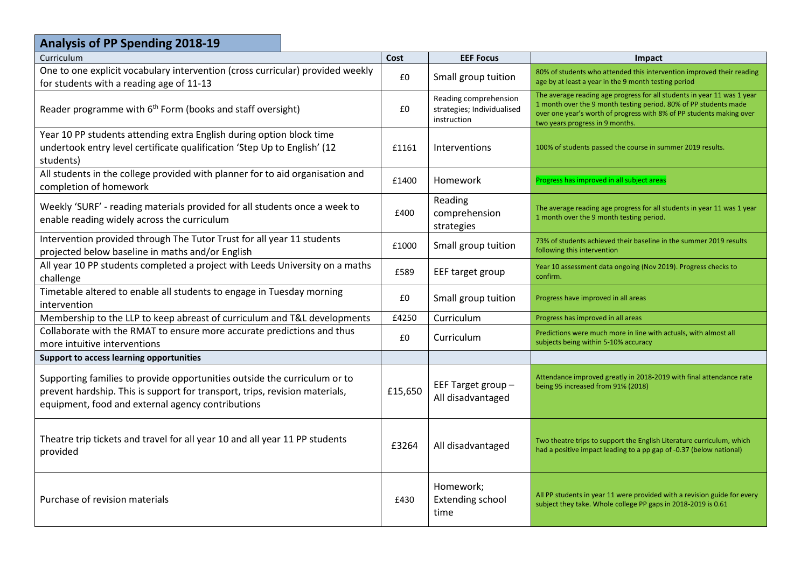| <b>Analysis of PP Spending 2018-19</b>                                                                                                                                                                        |         |                                                                    |                                                                                                                                                                                                                                                        |
|---------------------------------------------------------------------------------------------------------------------------------------------------------------------------------------------------------------|---------|--------------------------------------------------------------------|--------------------------------------------------------------------------------------------------------------------------------------------------------------------------------------------------------------------------------------------------------|
| Curriculum                                                                                                                                                                                                    | Cost    | <b>EEF Focus</b>                                                   | Impact                                                                                                                                                                                                                                                 |
| One to one explicit vocabulary intervention (cross curricular) provided weekly<br>for students with a reading age of 11-13                                                                                    | £0      | Small group tuition                                                | 80% of students who attended this intervention improved their reading<br>age by at least a year in the 9 month testing period                                                                                                                          |
| Reader programme with 6 <sup>th</sup> Form (books and staff oversight)                                                                                                                                        | £0      | Reading comprehension<br>strategies; Individualised<br>instruction | The average reading age progress for all students in year 11 was 1 year<br>1 month over the 9 month testing period. 80% of PP students made<br>over one year's worth of progress with 8% of PP students making over<br>two years progress in 9 months. |
| Year 10 PP students attending extra English during option block time<br>undertook entry level certificate qualification 'Step Up to English' (12<br>students)                                                 | £1161   | <b>Interventions</b>                                               | 100% of students passed the course in summer 2019 results.                                                                                                                                                                                             |
| All students in the college provided with planner for to aid organisation and<br>completion of homework                                                                                                       | £1400   | <b>Homework</b>                                                    | Progress has improved in all subject areas                                                                                                                                                                                                             |
| Weekly 'SURF' - reading materials provided for all students once a week to<br>enable reading widely across the curriculum                                                                                     | £400    | Reading<br>comprehension<br>strategies                             | The average reading age progress for all students in year 11 was 1 year<br>1 month over the 9 month testing period.                                                                                                                                    |
| Intervention provided through The Tutor Trust for all year 11 students<br>projected below baseline in maths and/or English                                                                                    | £1000   | Small group tuition                                                | 73% of students achieved their baseline in the summer 2019 results<br>following this intervention                                                                                                                                                      |
| All year 10 PP students completed a project with Leeds University on a maths<br>challenge                                                                                                                     | £589    | EEF target group                                                   | Year 10 assessment data ongoing (Nov 2019). Progress checks to<br>confirm.                                                                                                                                                                             |
| Timetable altered to enable all students to engage in Tuesday morning<br>intervention                                                                                                                         | £0      | Small group tuition                                                | Progress have improved in all areas                                                                                                                                                                                                                    |
| Membership to the LLP to keep abreast of curriculum and T&L developments                                                                                                                                      | £4250   | Curriculum                                                         | Progress has improved in all areas                                                                                                                                                                                                                     |
| Collaborate with the RMAT to ensure more accurate predictions and thus<br>more intuitive interventions                                                                                                        | £0      | Curriculum                                                         | Predictions were much more in line with actuals, with almost all<br>subjects being within 5-10% accuracy                                                                                                                                               |
| Support to access learning opportunities                                                                                                                                                                      |         |                                                                    |                                                                                                                                                                                                                                                        |
| Supporting families to provide opportunities outside the curriculum or to<br>prevent hardship. This is support for transport, trips, revision materials,<br>equipment, food and external agency contributions | £15,650 | EEF Target group-<br>All disadvantaged                             | Attendance improved greatly in 2018-2019 with final attendance rate<br>being 95 increased from 91% (2018)                                                                                                                                              |
| Theatre trip tickets and travel for all year 10 and all year 11 PP students<br>provided                                                                                                                       | £3264   | All disadvantaged                                                  | Two theatre trips to support the English Literature curriculum, which<br>had a positive impact leading to a pp gap of -0.37 (below national)                                                                                                           |
| Purchase of revision materials                                                                                                                                                                                | £430    | Homework;<br><b>Extending school</b><br>time                       | All PP students in year 11 were provided with a revision guide for every<br>subject they take. Whole college PP gaps in 2018-2019 is 0.61                                                                                                              |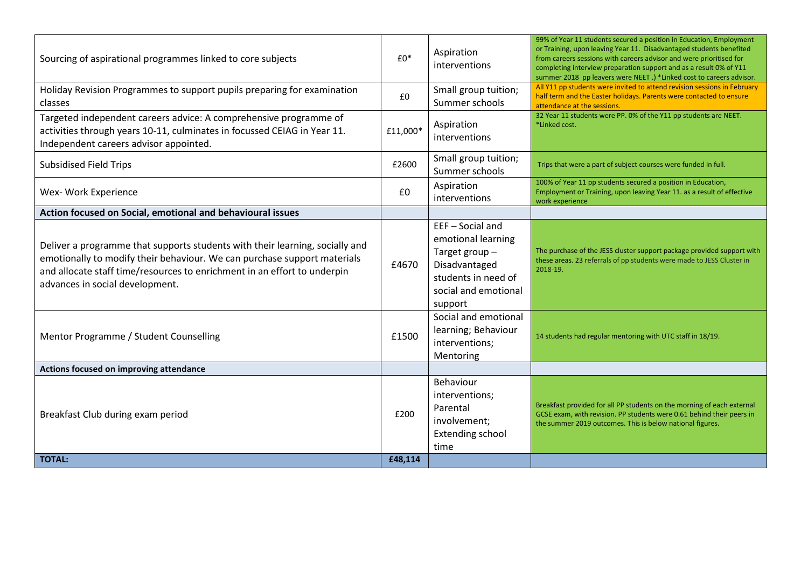| Sourcing of aspirational programmes linked to core subjects                                                                                                                                                                                                             | $£0*$    | Aspiration<br>interventions                                                                                                      | 99% of Year 11 students secured a position in Education, Employment<br>or Training, upon leaving Year 11. Disadvantaged students benefited<br>from careers sessions with careers advisor and were prioritised for<br>completing interview preparation support and as a result 0% of Y11<br>summer 2018 pp leavers were NEET.) *Linked cost to careers advisor. |
|-------------------------------------------------------------------------------------------------------------------------------------------------------------------------------------------------------------------------------------------------------------------------|----------|----------------------------------------------------------------------------------------------------------------------------------|----------------------------------------------------------------------------------------------------------------------------------------------------------------------------------------------------------------------------------------------------------------------------------------------------------------------------------------------------------------|
| Holiday Revision Programmes to support pupils preparing for examination<br><b>classes</b>                                                                                                                                                                               | £0       | Small group tuition;<br>Summer schools                                                                                           | All Y11 pp students were invited to attend revision sessions in February<br>half term and the Easter holidays. Parents were contacted to ensure<br>attendance at the sessions.                                                                                                                                                                                 |
| Targeted independent careers advice: A comprehensive programme of<br>activities through years 10-11, culminates in focussed CEIAG in Year 11.<br>Independent careers advisor appointed.                                                                                 | £11,000* | Aspiration<br>interventions                                                                                                      | 32 Year 11 students were PP. 0% of the Y11 pp students are NEET.<br>*Linked cost.                                                                                                                                                                                                                                                                              |
| <b>Subsidised Field Trips</b>                                                                                                                                                                                                                                           | £2600    | Small group tuition;<br>Summer schools                                                                                           | Trips that were a part of subject courses were funded in full.                                                                                                                                                                                                                                                                                                 |
| Wex- Work Experience                                                                                                                                                                                                                                                    | £0       | Aspiration<br>interventions                                                                                                      | 100% of Year 11 pp students secured a position in Education,<br>Employment or Training, upon leaving Year 11. as a result of effective<br>work experience                                                                                                                                                                                                      |
| Action focused on Social, emotional and behavioural issues                                                                                                                                                                                                              |          |                                                                                                                                  |                                                                                                                                                                                                                                                                                                                                                                |
| Deliver a programme that supports students with their learning, socially and<br>emotionally to modify their behaviour. We can purchase support materials<br>and allocate staff time/resources to enrichment in an effort to underpin<br>advances in social development. | £4670    | EEF-Social and<br>emotional learning<br>Target group-<br>Disadvantaged<br>students in need of<br>social and emotional<br>support | The purchase of the JESS cluster support package provided support with<br>these areas. 23 referrals of pp students were made to JESS Cluster in<br>2018-19.                                                                                                                                                                                                    |
| Mentor Programme / Student Counselling                                                                                                                                                                                                                                  | £1500    | Social and emotional<br>learning; Behaviour<br>interventions;<br>Mentoring                                                       | 14 students had regular mentoring with UTC staff in 18/19.                                                                                                                                                                                                                                                                                                     |
| Actions focused on improving attendance                                                                                                                                                                                                                                 |          |                                                                                                                                  |                                                                                                                                                                                                                                                                                                                                                                |
| Breakfast Club during exam period                                                                                                                                                                                                                                       | £200     | Behaviour<br>interventions;<br>Parental<br>involvement;<br><b>Extending school</b><br>time                                       | Breakfast provided for all PP students on the morning of each external<br>GCSE exam, with revision. PP students were 0.61 behind their peers in<br>the summer 2019 outcomes. This is below national figures.                                                                                                                                                   |
| <b>TOTAL:</b>                                                                                                                                                                                                                                                           | £48,114  |                                                                                                                                  |                                                                                                                                                                                                                                                                                                                                                                |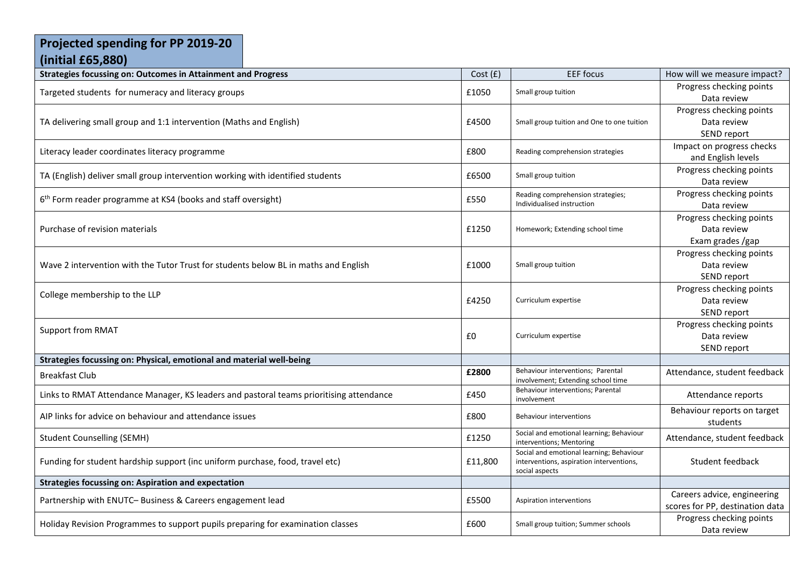#### **Projected spending for PP 2019-20 (initial £65,880)**

| <b>Strategies focussing on: Outcomes in Attainment and Progress</b>                     | Cost(f) | <b>EEF</b> focus                                                                                       | How will we measure impact?                                    |
|-----------------------------------------------------------------------------------------|---------|--------------------------------------------------------------------------------------------------------|----------------------------------------------------------------|
| Targeted students for numeracy and literacy groups                                      | £1050   | Small group tuition                                                                                    | Progress checking points<br>Data review                        |
| TA delivering small group and 1:1 intervention (Maths and English)                      | £4500   | Small group tuition and One to one tuition                                                             | Progress checking points<br>Data review<br>SEND report         |
| Literacy leader coordinates literacy programme                                          | £800    | Reading comprehension strategies                                                                       | Impact on progress checks<br>and English levels                |
| TA (English) deliver small group intervention working with identified students          | £6500   | Small group tuition                                                                                    | Progress checking points<br>Data review                        |
| 6 <sup>th</sup> Form reader programme at KS4 (books and staff oversight)                | £550    | Reading comprehension strategies;<br>Individualised instruction                                        | Progress checking points<br>Data review                        |
| Purchase of revision materials                                                          | £1250   | Homework; Extending school time                                                                        | Progress checking points<br>Data review<br>Exam grades /gap    |
| Wave 2 intervention with the Tutor Trust for students below BL in maths and English     | £1000   | Small group tuition                                                                                    | Progress checking points<br>Data review<br>SEND report         |
| College membership to the LLP                                                           | £4250   | Curriculum expertise                                                                                   | Progress checking points<br>Data review<br>SEND report         |
| <b>Support from RMAT</b>                                                                | £0      | Curriculum expertise                                                                                   | Progress checking points<br>Data review<br>SEND report         |
| Strategies focussing on: Physical, emotional and material well-being                    |         |                                                                                                        |                                                                |
| <b>Breakfast Club</b>                                                                   | £2800   | Behaviour interventions; Parental<br>involvement; Extending school time                                | Attendance, student feedback                                   |
| Links to RMAT Attendance Manager, KS leaders and pastoral teams prioritising attendance | £450    | Behaviour interventions; Parental<br>involvement                                                       | Attendance reports                                             |
| AIP links for advice on behaviour and attendance issues                                 | £800    | Behaviour interventions                                                                                | Behaviour reports on target<br>students                        |
| <b>Student Counselling (SEMH)</b>                                                       | £1250   | Social and emotional learning; Behaviour<br>interventions; Mentoring                                   | Attendance, student feedback                                   |
| Funding for student hardship support (inc uniform purchase, food, travel etc)           | £11,800 | Social and emotional learning; Behaviour<br>interventions, aspiration interventions,<br>social aspects | Student feedback                                               |
| <b>Strategies focussing on: Aspiration and expectation</b>                              |         |                                                                                                        |                                                                |
| Partnership with ENUTC- Business & Careers engagement lead                              | £5500   | Aspiration interventions                                                                               | Careers advice, engineering<br>scores for PP, destination data |
| Holiday Revision Programmes to support pupils preparing for examination classes         | £600    | Small group tuition; Summer schools                                                                    | Progress checking points<br>Data review                        |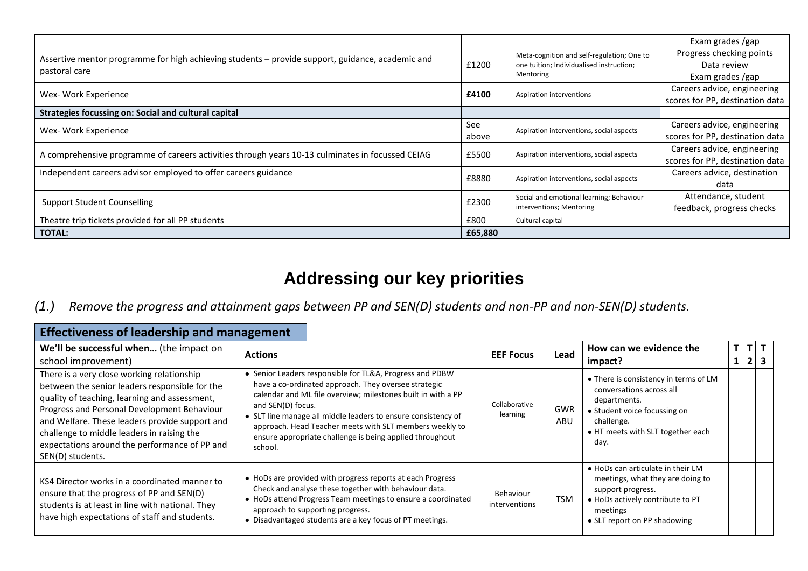|                                                                                                  |         |                                            | Exam grades /gap                |
|--------------------------------------------------------------------------------------------------|---------|--------------------------------------------|---------------------------------|
| Assertive mentor programme for high achieving students – provide support, guidance, academic and |         | Meta-cognition and self-regulation; One to | Progress checking points        |
| pastoral care                                                                                    | £1200   | one tuition; Individualised instruction;   | Data review                     |
|                                                                                                  |         | Mentoring                                  | Exam grades /gap                |
| Wex- Work Experience                                                                             | £4100   | Aspiration interventions                   | Careers advice, engineering     |
|                                                                                                  |         |                                            | scores for PP, destination data |
| Strategies focussing on: Social and cultural capital                                             |         |                                            |                                 |
| Wex- Work Experience                                                                             | See     | Aspiration interventions, social aspects   | Careers advice, engineering     |
|                                                                                                  | above   |                                            | scores for PP, destination data |
| A comprehensive programme of careers activities through years 10-13 culminates in focussed CEIAG | £5500   | Aspiration interventions, social aspects   | Careers advice, engineering     |
|                                                                                                  |         |                                            | scores for PP, destination data |
| Independent careers advisor employed to offer careers guidance                                   | £8880   | Aspiration interventions, social aspects   | Careers advice, destination     |
|                                                                                                  |         |                                            | data                            |
|                                                                                                  | £2300   | Social and emotional learning; Behaviour   | Attendance, student             |
| <b>Support Student Counselling</b>                                                               |         | interventions; Mentoring                   | feedback, progress checks       |
| Theatre trip tickets provided for all PP students                                                | £800    | Cultural capital                           |                                 |
| <b>TOTAL:</b>                                                                                    | £65,880 |                                            |                                 |

## **Addressing our key priorities**

#### *(1.) Remove the progress and attainment gaps between PP and SEN(D) students and non-PP and non-SEN(D) students.*

| <b>Effectiveness of leadership and management</b>                                                                                                                                                                                                                                                                                                                 |                                                                                                                                                                                                                                                                                                                                                                                                          |                            |                   |                                                                                                                                                                              |  |             |            |  |  |
|-------------------------------------------------------------------------------------------------------------------------------------------------------------------------------------------------------------------------------------------------------------------------------------------------------------------------------------------------------------------|----------------------------------------------------------------------------------------------------------------------------------------------------------------------------------------------------------------------------------------------------------------------------------------------------------------------------------------------------------------------------------------------------------|----------------------------|-------------------|------------------------------------------------------------------------------------------------------------------------------------------------------------------------------|--|-------------|------------|--|--|
| We'll be successful when (the impact on<br>school improvement)                                                                                                                                                                                                                                                                                                    | <b>Actions</b>                                                                                                                                                                                                                                                                                                                                                                                           | <b>EEF Focus</b>           | Lead              | How can we evidence the<br>impact?                                                                                                                                           |  | $T$ $T$ $T$ | $2 \mid 3$ |  |  |
| There is a very close working relationship<br>between the senior leaders responsible for the<br>quality of teaching, learning and assessment,<br>Progress and Personal Development Behaviour<br>and Welfare. These leaders provide support and<br>challenge to middle leaders in raising the<br>expectations around the performance of PP and<br>SEN(D) students. | • Senior Leaders responsible for TL&A, Progress and PDBW<br>have a co-ordinated approach. They oversee strategic<br>calendar and ML file overview; milestones built in with a PP<br>and SEN(D) focus.<br>• SLT line manage all middle leaders to ensure consistency of<br>approach. Head Teacher meets with SLT members weekly to<br>ensure appropriate challenge is being applied throughout<br>school. | Collaborative<br>learning  | <b>GWR</b><br>ABU | • There is consistency in terms of LM<br>conversations across all<br>departments.<br>• Student voice focussing on<br>challenge.<br>• HT meets with SLT together each<br>day. |  |             |            |  |  |
| KS4 Director works in a coordinated manner to<br>ensure that the progress of PP and SEN(D)<br>students is at least in line with national. They<br>have high expectations of staff and students.                                                                                                                                                                   | • HoDs are provided with progress reports at each Progress<br>Check and analyse these together with behaviour data.<br>• HoDs attend Progress Team meetings to ensure a coordinated<br>approach to supporting progress.<br>• Disadvantaged students are a key focus of PT meetings.                                                                                                                      | Behaviour<br>interventions | <b>TSM</b>        | • HoDs can articulate in their LM<br>meetings, what they are doing to<br>support progress.<br>• HoDs actively contribute to PT<br>meetings<br>• SLT report on PP shadowing   |  |             |            |  |  |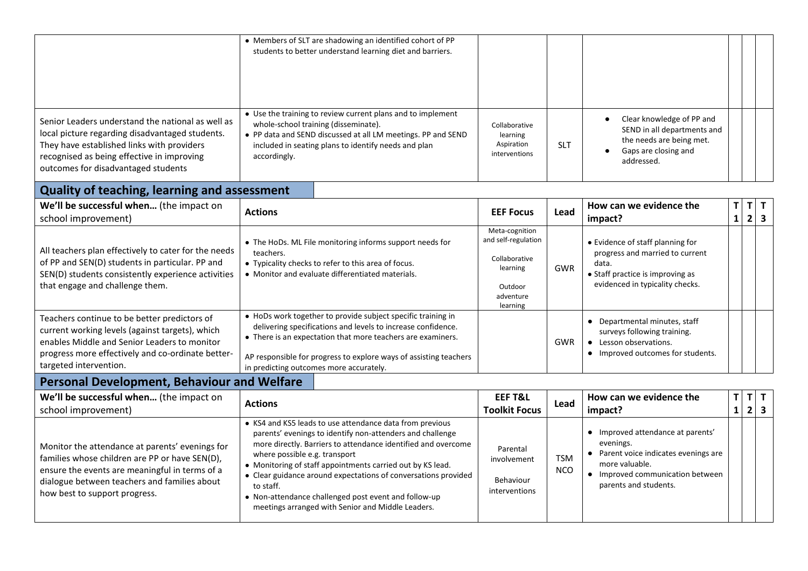|                                                                                                                                                                                                                                         | • Members of SLT are shadowing an identified cohort of PP<br>students to better understand learning diet and barriers.                                                                                                                                                                                                                                                                                                                                                            |                                                                                                        |                          |                                                                                                                                                                        |                   |                     |                                         |
|-----------------------------------------------------------------------------------------------------------------------------------------------------------------------------------------------------------------------------------------|-----------------------------------------------------------------------------------------------------------------------------------------------------------------------------------------------------------------------------------------------------------------------------------------------------------------------------------------------------------------------------------------------------------------------------------------------------------------------------------|--------------------------------------------------------------------------------------------------------|--------------------------|------------------------------------------------------------------------------------------------------------------------------------------------------------------------|-------------------|---------------------|-----------------------------------------|
| Senior Leaders understand the national as well as<br>local picture regarding disadvantaged students.<br>They have established links with providers<br>recognised as being effective in improving<br>outcomes for disadvantaged students | • Use the training to review current plans and to implement<br>whole-school training (disseminate).<br>• PP data and SEND discussed at all LM meetings. PP and SEND<br>included in seating plans to identify needs and plan<br>accordingly.                                                                                                                                                                                                                                       | Collaborative<br>learning<br>Aspiration<br>interventions                                               | <b>SLT</b>               | Clear knowledge of PP and<br>SEND in all departments and<br>the needs are being met.<br>Gaps are closing and<br>$\bullet$<br>addressed.                                |                   |                     |                                         |
| <b>Quality of teaching, learning and assessment</b>                                                                                                                                                                                     |                                                                                                                                                                                                                                                                                                                                                                                                                                                                                   |                                                                                                        |                          |                                                                                                                                                                        |                   |                     |                                         |
| We'll be successful when (the impact on<br>school improvement)                                                                                                                                                                          | <b>Actions</b>                                                                                                                                                                                                                                                                                                                                                                                                                                                                    | <b>EEF Focus</b>                                                                                       | Lead                     | How can we evidence the<br>impact?                                                                                                                                     | T<br>$\mathbf{1}$ | T<br>$\overline{2}$ | $\mathbf{T}$<br>$\overline{\mathbf{3}}$ |
| All teachers plan effectively to cater for the needs<br>of PP and SEN(D) students in particular. PP and<br>SEN(D) students consistently experience activities<br>that engage and challenge them.                                        | • The HoDs. ML File monitoring informs support needs for<br>teachers.<br>• Typicality checks to refer to this area of focus.<br>• Monitor and evaluate differentiated materials.                                                                                                                                                                                                                                                                                                  | Meta-cognition<br>and self-regulation<br>Collaborative<br>learning<br>Outdoor<br>adventure<br>learning | <b>GWR</b>               | • Evidence of staff planning for<br>progress and married to current<br>data.<br>• Staff practice is improving as<br>evidenced in typicality checks.                    |                   |                     |                                         |
| Teachers continue to be better predictors of<br>current working levels (against targets), which<br>enables Middle and Senior Leaders to monitor<br>progress more effectively and co-ordinate better-<br>targeted intervention.          | • HoDs work together to provide subject specific training in<br>delivering specifications and levels to increase confidence.<br>• There is an expectation that more teachers are examiners.<br>AP responsible for progress to explore ways of assisting teachers<br>in predicting outcomes more accurately.                                                                                                                                                                       |                                                                                                        | <b>GWR</b>               | • Departmental minutes, staff<br>surveys following training.<br>• Lesson observations.<br>• Improved outcomes for students.                                            |                   |                     |                                         |
| <b>Personal Development, Behaviour and Welfare</b>                                                                                                                                                                                      |                                                                                                                                                                                                                                                                                                                                                                                                                                                                                   |                                                                                                        |                          |                                                                                                                                                                        |                   |                     |                                         |
| We'll be successful when (the impact on<br>school improvement)                                                                                                                                                                          | <b>Actions</b>                                                                                                                                                                                                                                                                                                                                                                                                                                                                    | <b>EEF T&amp;L</b><br><b>Toolkit Focus</b>                                                             | Lead                     | How can we evidence the<br>impact?                                                                                                                                     | T<br>$\mathbf{1}$ | T<br>2              | T<br>$\overline{\mathbf{3}}$            |
| Monitor the attendance at parents' evenings for<br>families whose children are PP or have SEN(D),<br>ensure the events are meaningful in terms of a<br>dialogue between teachers and families about<br>how best to support progress.    | • KS4 and KS5 leads to use attendance data from previous<br>parents' evenings to identify non-attenders and challenge<br>more directly. Barriers to attendance identified and overcome<br>where possible e.g. transport<br>• Monitoring of staff appointments carried out by KS lead.<br>• Clear guidance around expectations of conversations provided<br>to staff.<br>• Non-attendance challenged post event and follow-up<br>meetings arranged with Senior and Middle Leaders. | Parental<br>involvement<br>Behaviour<br>interventions                                                  | <b>TSM</b><br><b>NCO</b> | • Improved attendance at parents'<br>evenings.<br>• Parent voice indicates evenings are<br>more valuable.<br>• Improved communication between<br>parents and students. |                   |                     |                                         |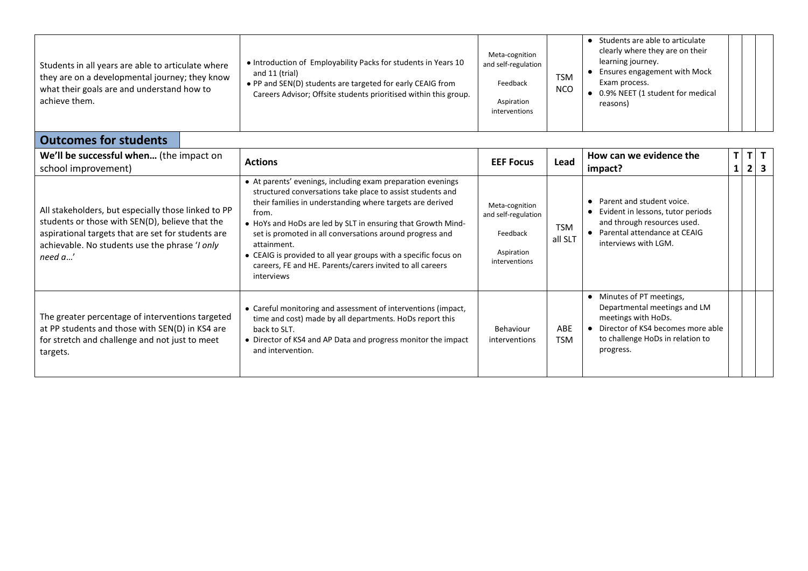| Students in all years are able to articulate where<br>they are on a developmental journey; they know<br>what their goals are and understand how to<br>achieve them. | • Introduction of Employability Packs for students in Years 10<br>and 11 (trial)<br>• PP and SEN(D) students are targeted for early CEAIG from<br>Careers Advisor; Offsite students prioritised within this group. | Meta-cognition<br>and self-regulation<br>Feedback<br>Aspiration<br>interventions | <b>TSM</b><br><b>NCO</b> | Students are able to articulate<br>clearly where they are on their<br>learning journey.<br>• Ensures engagement with Mock<br>Exam process.<br>● 0.9% NEET (1 student for medical<br>reasons) |
|---------------------------------------------------------------------------------------------------------------------------------------------------------------------|--------------------------------------------------------------------------------------------------------------------------------------------------------------------------------------------------------------------|----------------------------------------------------------------------------------|--------------------------|----------------------------------------------------------------------------------------------------------------------------------------------------------------------------------------------|
| <b>Outcomes for students</b>                                                                                                                                        |                                                                                                                                                                                                                    |                                                                                  |                          |                                                                                                                                                                                              |

| We'll be successful when (the impact on<br><b>Actions</b><br>school improvement)<br>• At parents' evenings, including exam preparation evenings<br>structured conversations take place to assist students and<br>their families in understanding where targets are derived |                                                                                                                                                                                                                                                                                                | <b>EEF Focus</b>                                                                 | Lead                  | How can we evidence the<br>impact?                                                                                                                                     | $\mathsf{T}$ | $\overline{2}$ |  |
|----------------------------------------------------------------------------------------------------------------------------------------------------------------------------------------------------------------------------------------------------------------------------|------------------------------------------------------------------------------------------------------------------------------------------------------------------------------------------------------------------------------------------------------------------------------------------------|----------------------------------------------------------------------------------|-----------------------|------------------------------------------------------------------------------------------------------------------------------------------------------------------------|--------------|----------------|--|
| All stakeholders, but especially those linked to PP<br>students or those with SEN(D), believe that the<br>aspirational targets that are set for students are<br>achievable. No students use the phrase 'I only<br>need a'                                                  | from.<br>• HoYs and HoDs are led by SLT in ensuring that Growth Mind-<br>set is promoted in all conversations around progress and<br>attainment.<br>• CEAIG is provided to all year groups with a specific focus on<br>careers, FE and HE. Parents/carers invited to all careers<br>interviews | Meta-cognition<br>and self-regulation<br>Feedback<br>Aspiration<br>interventions | <b>TSM</b><br>all SLT | Parent and student voice.<br>Evident in lessons, tutor periods<br>and through resources used.<br>Parental attendance at CEAIG<br>interviews with LGM.                  |              |                |  |
| The greater percentage of interventions targeted<br>at PP students and those with SEN(D) in KS4 are<br>for stretch and challenge and not just to meet<br>targets.                                                                                                          | • Careful monitoring and assessment of interventions (impact,<br>time and cost) made by all departments. HoDs report this<br>back to SLT.<br>• Director of KS4 and AP Data and progress monitor the impact<br>and intervention.                                                                | Behaviour<br>interventions                                                       | ABE<br><b>TSM</b>     | • Minutes of PT meetings,<br>Departmental meetings and LM<br>meetings with HoDs.<br>Director of KS4 becomes more able<br>to challenge HoDs in relation to<br>progress. |              |                |  |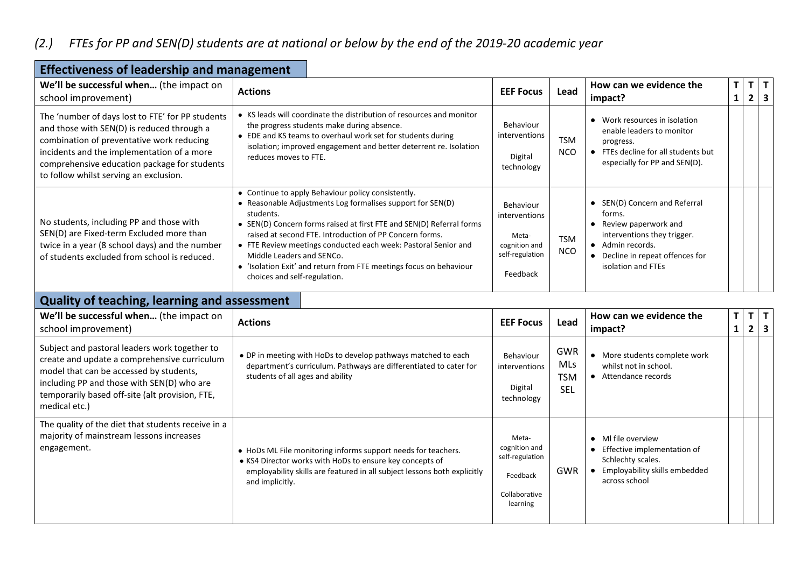### *(2.) FTEs for PP and SEN(D) students are at national or below by the end of the 2019-20 academic year*

۰

| <b>Effectiveness of leadership and management</b>                                                                                                                                                                                                                                   |                                                                                                                                                                                                                                                                                                                                                                                                                                                                       |                                                                                     |                          |                                                                                                                                                                              |                   |                |           |  |
|-------------------------------------------------------------------------------------------------------------------------------------------------------------------------------------------------------------------------------------------------------------------------------------|-----------------------------------------------------------------------------------------------------------------------------------------------------------------------------------------------------------------------------------------------------------------------------------------------------------------------------------------------------------------------------------------------------------------------------------------------------------------------|-------------------------------------------------------------------------------------|--------------------------|------------------------------------------------------------------------------------------------------------------------------------------------------------------------------|-------------------|----------------|-----------|--|
| We'll be successful when (the impact on<br>school improvement)                                                                                                                                                                                                                      | <b>Actions</b>                                                                                                                                                                                                                                                                                                                                                                                                                                                        | <b>EEF Focus</b>                                                                    | Lead                     | How can we evidence the<br>impact?                                                                                                                                           | T<br>$\mathbf{1}$ | 2 <sup>1</sup> | T[T]<br>3 |  |
| The 'number of days lost to FTE' for PP students<br>and those with SEN(D) is reduced through a<br>combination of preventative work reducing<br>incidents and the implementation of a more<br>comprehensive education package for students<br>to follow whilst serving an exclusion. | • KS leads will coordinate the distribution of resources and monitor<br>the progress students make during absence.<br>• EDE and KS teams to overhaul work set for students during<br>isolation; improved engagement and better deterrent re. Isolation<br>reduces moves to FTE.                                                                                                                                                                                       | Behaviour<br>interventions<br>Digital<br>technology                                 | <b>TSM</b><br><b>NCO</b> | Work resources in isolation<br>$\bullet$<br>enable leaders to monitor<br>progress.<br>• FTEs decline for all students but<br>especially for PP and SEN(D).                   |                   |                |           |  |
| No students, including PP and those with<br>SEN(D) are Fixed-term Excluded more than<br>twice in a year (8 school days) and the number<br>of students excluded from school is reduced.                                                                                              | • Continue to apply Behaviour policy consistently.<br>• Reasonable Adjustments Log formalises support for SEN(D)<br>students.<br>• SEN(D) Concern forms raised at first FTE and SEN(D) Referral forms<br>raised at second FTE. Introduction of PP Concern forms.<br>• FTE Review meetings conducted each week: Pastoral Senior and<br>Middle Leaders and SENCo.<br>• 'Isolation Exit' and return from FTE meetings focus on behaviour<br>choices and self-regulation. | Behaviour<br>interventions<br>Meta-<br>cognition and<br>self-regulation<br>Feedback | <b>TSM</b><br><b>NCO</b> | • SEN(D) Concern and Referral<br>forms.<br>Review paperwork and<br>interventions they trigger.<br>• Admin records.<br>• Decline in repeat offences for<br>isolation and FTEs |                   |                |           |  |
| Quality of teaching, learning and assessment                                                                                                                                                                                                                                        |                                                                                                                                                                                                                                                                                                                                                                                                                                                                       |                                                                                     |                          |                                                                                                                                                                              |                   |                |           |  |
| We'll be successful when (the impact on                                                                                                                                                                                                                                             | Actions                                                                                                                                                                                                                                                                                                                                                                                                                                                               | <b>EEE EACUS</b>                                                                    | <b>Lood</b>              | How can we evidence the                                                                                                                                                      | T                 | $T \mid$       | T         |  |

| We'll be successful when (the impact on<br>school improvement)                                                                                                                                                                                             | <b>Actions</b>                                                                                                                                                                                                           | <b>EEF Focus</b>                                                                   | Lead                                          | How can we evidence the<br>impact?                                                                                     | T | $T$   T<br>$2 \mid 3 \mid$ |  |
|------------------------------------------------------------------------------------------------------------------------------------------------------------------------------------------------------------------------------------------------------------|--------------------------------------------------------------------------------------------------------------------------------------------------------------------------------------------------------------------------|------------------------------------------------------------------------------------|-----------------------------------------------|------------------------------------------------------------------------------------------------------------------------|---|----------------------------|--|
| Subject and pastoral leaders work together to<br>create and update a comprehensive curriculum<br>model that can be accessed by students,<br>including PP and those with SEN(D) who are<br>temporarily based off-site (alt provision, FTE,<br>medical etc.) | • DP in meeting with HoDs to develop pathways matched to each<br>department's curriculum. Pathways are differentiated to cater for<br>students of all ages and ability                                                   | Behaviour<br>interventions<br>Digital<br>technology                                | <b>GWR</b><br>MLs<br><b>TSM</b><br><b>SEL</b> | More students complete work<br>whilst not in school.<br>Attendance records                                             |   |                            |  |
| The quality of the diet that students receive in a<br>majority of mainstream lessons increases<br>engagement.                                                                                                                                              | • HoDs ML File monitoring informs support needs for teachers.<br>• KS4 Director works with HoDs to ensure key concepts of<br>employability skills are featured in all subject lessons both explicitly<br>and implicitly. | Meta-<br>cognition and<br>self-regulation<br>Feedback<br>Collaborative<br>learning | <b>GWR</b>                                    | MI file overview<br>Effective implementation of<br>Schlechty scales.<br>Employability skills embedded<br>across school |   |                            |  |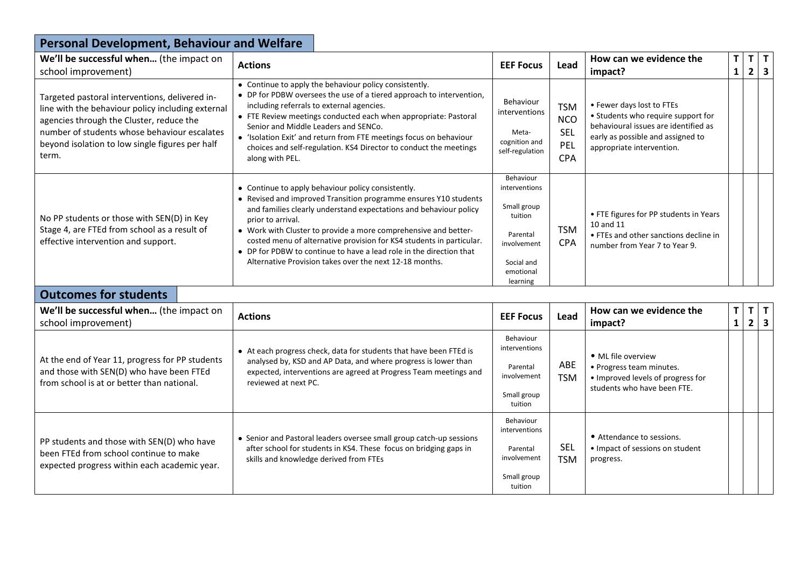| <b>Personal Development, Behaviour and Welfare</b>                                                                                                                                                                                                          |                                                                                                                                                                                                                                                                                                                                                                                                                                                                                               |                                                                                                                        |                                                             |                                                                                                                                                                           |                    |                            |
|-------------------------------------------------------------------------------------------------------------------------------------------------------------------------------------------------------------------------------------------------------------|-----------------------------------------------------------------------------------------------------------------------------------------------------------------------------------------------------------------------------------------------------------------------------------------------------------------------------------------------------------------------------------------------------------------------------------------------------------------------------------------------|------------------------------------------------------------------------------------------------------------------------|-------------------------------------------------------------|---------------------------------------------------------------------------------------------------------------------------------------------------------------------------|--------------------|----------------------------|
| We'll be successful when (the impact on<br>school improvement)                                                                                                                                                                                              | <b>Actions</b>                                                                                                                                                                                                                                                                                                                                                                                                                                                                                | <b>EEF Focus</b>                                                                                                       | Lead                                                        | How can we evidence the<br>impact?                                                                                                                                        | T.<br>$\mathbf{1}$ | $T$ $T$<br>$2 \mid 3$      |
| Targeted pastoral interventions, delivered in-<br>line with the behaviour policy including external<br>agencies through the Cluster, reduce the<br>number of students whose behaviour escalates<br>beyond isolation to low single figures per half<br>term. | • Continue to apply the behaviour policy consistently.<br>• DP for PDBW oversees the use of a tiered approach to intervention,<br>including referrals to external agencies.<br>• FTE Review meetings conducted each when appropriate: Pastoral<br>Senior and Middle Leaders and SENCo.<br>• 'Isolation Exit' and return from FTE meetings focus on behaviour<br>choices and self-regulation. KS4 Director to conduct the meetings<br>along with PEL.                                          | Behaviour<br>interventions<br>Meta-<br>cognition and<br>self-regulation                                                | <b>TSM</b><br><b>NCO</b><br><b>SEL</b><br>PEL<br><b>CPA</b> | • Fewer days lost to FTEs<br>• Students who require support for<br>behavioural issues are identified as<br>early as possible and assigned to<br>appropriate intervention. |                    |                            |
| No PP students or those with SEN(D) in Key<br>Stage 4, are FTEd from school as a result of<br>effective intervention and support.                                                                                                                           | • Continue to apply behaviour policy consistently.<br>• Revised and improved Transition programme ensures Y10 students<br>and families clearly understand expectations and behaviour policy<br>prior to arrival.<br>• Work with Cluster to provide a more comprehensive and better-<br>costed menu of alternative provision for KS4 students in particular.<br>• DP for PDBW to continue to have a lead role in the direction that<br>Alternative Provision takes over the next 12-18 months. | Behaviour<br>interventions<br>Small group<br>tuition<br>Parental<br>involvement<br>Social and<br>emotional<br>learning | <b>TSM</b><br><b>CPA</b>                                    | • FTE figures for PP students in Years<br>10 and 11<br>• FTEs and other sanctions decline in<br>number from Year 7 to Year 9.                                             |                    |                            |
| <b>Outcomes for students</b>                                                                                                                                                                                                                                |                                                                                                                                                                                                                                                                                                                                                                                                                                                                                               |                                                                                                                        |                                                             |                                                                                                                                                                           |                    |                            |
| We'll be successful when (the impact on<br>school improvement)                                                                                                                                                                                              | <b>Actions</b>                                                                                                                                                                                                                                                                                                                                                                                                                                                                                | <b>EEF Focus</b>                                                                                                       | Lead                                                        | How can we evidence the<br>impact?                                                                                                                                        | T.<br>$\mathbf{1}$ | $T$ $T$<br>$2 \mid 3 \mid$ |
| At the end of Year 11, progress for PP students<br>and those with SEN(D) who have been FTEd                                                                                                                                                                 | • At each progress check, data for students that have been FTEd is<br>analysed by, KSD and AP Data, and where progress is lower than<br>expected, interventions are agreed at Progress Team meetings and                                                                                                                                                                                                                                                                                      | Behaviour<br>interventions<br>Parental<br>involvement                                                                  | ABE<br><b>TCM</b>                                           | · ML file overview<br>• Progress team minutes.<br>استكاره ومحسوره والمستحدث والمتحدد والمحسوب والمستحدث                                                                   |                    |                            |

| At the end of Year 11, progress for PP students<br>and those with SEN(D) who have been FTEd<br>from school is at or better than national. | • At each progress check, data for students that have been FTEd is<br>analysed by, KSD and AP Data, and where progress is lower than<br>expected, interventions are agreed at Progress Team meetings and<br>reviewed at next PC. | Behaviour<br>interventions<br>Parental<br>involvement<br>Small group<br>tuition | ABE<br><b>TSM</b> | • ML file overview<br>• Progress team minutes.<br>• Improved levels of progress for<br>students who have been FTE. |
|-------------------------------------------------------------------------------------------------------------------------------------------|----------------------------------------------------------------------------------------------------------------------------------------------------------------------------------------------------------------------------------|---------------------------------------------------------------------------------|-------------------|--------------------------------------------------------------------------------------------------------------------|
| PP students and those with SEN(D) who have<br>been FTEd from school continue to make<br>expected progress within each academic year.      | • Senior and Pastoral leaders oversee small group catch-up sessions<br>after school for students in KS4. These focus on bridging gaps in<br>skills and knowledge derived from FTEs                                               | Behaviour<br>interventions<br>Parental<br>involvement<br>Small group<br>tuition | SEL<br>TSM        | • Attendance to sessions.<br>• Impact of sessions on student<br>progress.                                          |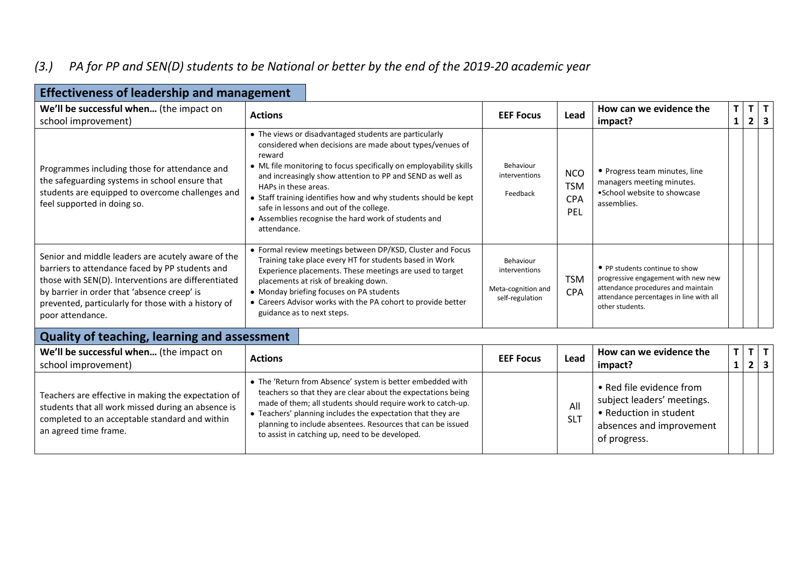#### *(3.) PA for PP and SEN(D) students to be National or better by the end of the 2019-20 academic year*

| LUCCUVCHCSS OF ICAUCI SHIP AND MANAGEMICHT                                                                                                                                                                                                                                             |                                                                                                                                                                                                                                                                                                                                                                                                                                                                              |                                                                     |                                               |                                                                                                                                                                           |                   |                   |                         |   |
|----------------------------------------------------------------------------------------------------------------------------------------------------------------------------------------------------------------------------------------------------------------------------------------|------------------------------------------------------------------------------------------------------------------------------------------------------------------------------------------------------------------------------------------------------------------------------------------------------------------------------------------------------------------------------------------------------------------------------------------------------------------------------|---------------------------------------------------------------------|-----------------------------------------------|---------------------------------------------------------------------------------------------------------------------------------------------------------------------------|-------------------|-------------------|-------------------------|---|
| We'll be successful when (the impact on<br>school improvement)                                                                                                                                                                                                                         | <b>Actions</b>                                                                                                                                                                                                                                                                                                                                                                                                                                                               | <b>EEF Focus</b>                                                    | Lead                                          | How can we evidence the<br>impact?                                                                                                                                        | $\mathsf{T}$<br>1 | T<br>$\mathbf{2}$ | $\overline{\mathbf{3}}$ | T |
| Programmes including those for attendance and<br>the safeguarding systems in school ensure that<br>students are equipped to overcome challenges and<br>feel supported in doing so.                                                                                                     | • The views or disadvantaged students are particularly<br>considered when decisions are made about types/venues of<br>reward<br>• ML file monitoring to focus specifically on employability skills<br>and increasingly show attention to PP and SEND as well as<br>HAPs in these areas.<br>• Staff training identifies how and why students should be kept<br>safe in lessons and out of the college.<br>• Assemblies recognise the hard work of students and<br>attendance. | Behaviour<br>interventions<br>Feedback                              | <b>NCO</b><br><b>TSM</b><br><b>CPA</b><br>PEL | • Progress team minutes, line<br>managers meeting minutes.<br>•School website to showcase<br>assemblies.                                                                  |                   |                   |                         |   |
| Senior and middle leaders are acutely aware of the<br>barriers to attendance faced by PP students and<br>those with SEN(D). Interventions are differentiated<br>by barrier in order that 'absence creep' is<br>prevented, particularly for those with a history of<br>poor attendance. | • Formal review meetings between DP/KSD, Cluster and Focus<br>Training take place every HT for students based in Work<br>Experience placements. These meetings are used to target<br>placements at risk of breaking down.<br>• Monday briefing focuses on PA students<br>• Careers Advisor works with the PA cohort to provide better<br>guidance as to next steps.                                                                                                          | Behaviour<br>interventions<br>Meta-cognition and<br>self-regulation | <b>TSM</b><br><b>CPA</b>                      | • PP students continue to show<br>progressive engagement with new new<br>attendance procedures and maintain<br>attendance percentages in line with all<br>other students. |                   |                   |                         |   |

#### **Effectiveness of leadership and management**

#### **Quality of teaching, learning and assessment**

| We'll be successful when (the impact on<br>school improvement)                                                                                                                       | <b>Actions</b>                                                                                                                                                                                                                                                                                                                                                             | <b>EEF Focus</b> | Lead              | How can we evidence the<br>impact?                                                                                           |  |  |
|--------------------------------------------------------------------------------------------------------------------------------------------------------------------------------------|----------------------------------------------------------------------------------------------------------------------------------------------------------------------------------------------------------------------------------------------------------------------------------------------------------------------------------------------------------------------------|------------------|-------------------|------------------------------------------------------------------------------------------------------------------------------|--|--|
| Teachers are effective in making the expectation of<br>students that all work missed during an absence is<br>completed to an acceptable standard and within<br>an agreed time frame. | • The 'Return from Absence' system is better embedded with<br>teachers so that they are clear about the expectations being<br>made of them; all students should require work to catch-up.<br>• Teachers' planning includes the expectation that they are<br>planning to include absentees. Resources that can be issued<br>to assist in catching up, need to be developed. |                  | All<br><b>SLT</b> | • Red file evidence from<br>subject leaders' meetings.<br>• Reduction in student<br>absences and improvement<br>of progress. |  |  |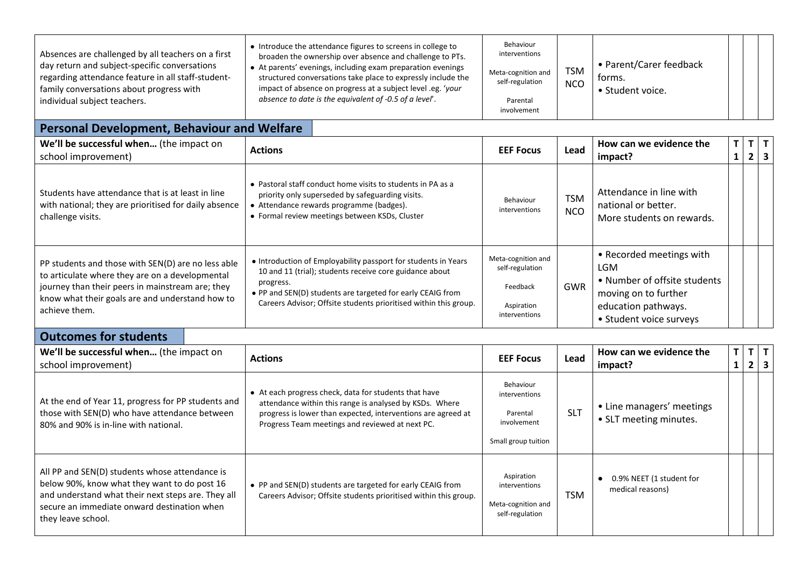| Absences are challenged by all teachers on a first<br>day return and subject-specific conversations<br>regarding attendance feature in all staff-student-<br>family conversations about progress with<br>individual subject teachers. | • Introduce the attendance figures to screens in college to<br>broaden the ownership over absence and challenge to PTs.<br>• At parents' evenings, including exam preparation evenings<br>structured conversations take place to expressly include the<br>impact of absence on progress at a subject level .eg. 'your<br>absence to date is the equivalent of -0.5 of a level'. | Behaviour<br>interventions<br>Meta-cognition and<br>self-regulation<br>Parental<br>involvement | <b>TSM</b><br><b>NCO</b> | • Parent/Carer feedback<br>torms.<br>• Student voice. |  |  |  |  |
|---------------------------------------------------------------------------------------------------------------------------------------------------------------------------------------------------------------------------------------|---------------------------------------------------------------------------------------------------------------------------------------------------------------------------------------------------------------------------------------------------------------------------------------------------------------------------------------------------------------------------------|------------------------------------------------------------------------------------------------|--------------------------|-------------------------------------------------------|--|--|--|--|
| <b>Personal Development, Behaviour and Welfare</b>                                                                                                                                                                                    |                                                                                                                                                                                                                                                                                                                                                                                 |                                                                                                |                          |                                                       |  |  |  |  |

| <b>Personal Development, Behaviour and Welfare</b> |  |
|----------------------------------------------------|--|
|                                                    |  |

| We'll be successful when (the impact on<br>school improvement)                                                                                                                                                                | <b>Actions</b>                                                                                                                                                                                                                                                           | <b>EEF Focus</b>                                                                 | Lead                     | How can we evidence the<br>impact?                                                                                                               | $T \mid$<br>$\mathbf{1}$ | $T$ $T$<br>2 | $\overline{\mathbf{3}}$ |
|-------------------------------------------------------------------------------------------------------------------------------------------------------------------------------------------------------------------------------|--------------------------------------------------------------------------------------------------------------------------------------------------------------------------------------------------------------------------------------------------------------------------|----------------------------------------------------------------------------------|--------------------------|--------------------------------------------------------------------------------------------------------------------------------------------------|--------------------------|--------------|-------------------------|
| Students have attendance that is at least in line<br>with national; they are prioritised for daily absence<br>challenge visits.                                                                                               | • Pastoral staff conduct home visits to students in PA as a<br>priority only superseded by safeguarding visits.<br>• Attendance rewards programme (badges).<br>• Formal review meetings between KSDs, Cluster                                                            | Behaviour<br>interventions                                                       | <b>TSM</b><br><b>NCO</b> | Attendance in line with<br>national or better.<br>More students on rewards.                                                                      |                          |              |                         |
| PP students and those with SEN(D) are no less able<br>to articulate where they are on a developmental<br>journey than their peers in mainstream are; they<br>know what their goals are and understand how to<br>achieve them. | • Introduction of Employability passport for students in Years<br>10 and 11 (trial); students receive core guidance about<br>progress.<br>• PP and SEN(D) students are targeted for early CEAIG from<br>Careers Advisor; Offsite students prioritised within this group. | Meta-cognition and<br>self-regulation<br>Feedback<br>Aspiration<br>interventions | GWR                      | • Recorded meetings with<br><b>LGM</b><br>• Number of offsite students<br>moving on to further<br>education pathways.<br>• Student voice surveys |                          |              |                         |

## **Outcomes for students**

| We'll be successful when (the impact on<br>school improvement)                                                                                                                                                            | <b>Actions</b>                                                                                                                                                                                                                      | <b>EEF Focus</b>                                                             | Lead       | How can we evidence the<br>impact?                  | 1 | 3<br>2 |  |
|---------------------------------------------------------------------------------------------------------------------------------------------------------------------------------------------------------------------------|-------------------------------------------------------------------------------------------------------------------------------------------------------------------------------------------------------------------------------------|------------------------------------------------------------------------------|------------|-----------------------------------------------------|---|--------|--|
| At the end of Year 11, progress for PP students and<br>those with SEN(D) who have attendance between<br>80% and 90% is in-line with national.                                                                             | • At each progress check, data for students that have<br>attendance within this range is analysed by KSDs. Where<br>progress is lower than expected, interventions are agreed at<br>Progress Team meetings and reviewed at next PC. | Behaviour<br>interventions<br>Parental<br>involvement<br>Small group tuition | <b>SLT</b> | • Line managers' meetings<br>• SLT meeting minutes. |   |        |  |
| All PP and SEN(D) students whose attendance is<br>below 90%, know what they want to do post 16<br>and understand what their next steps are. They all<br>secure an immediate onward destination when<br>they leave school. | • PP and SEN(D) students are targeted for early CEAIG from<br>Careers Advisor; Offsite students prioritised within this group.                                                                                                      | Aspiration<br>interventions<br>Meta-cognition and<br>self-regulation         | <b>TSM</b> | 0.9% NEET (1 student for<br>medical reasons)        |   |        |  |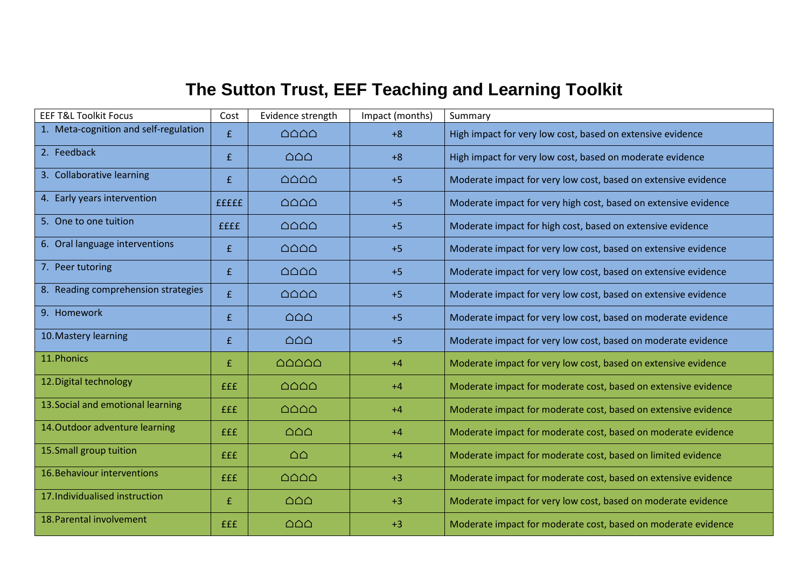# **The Sutton Trust, EEF Teaching and Learning Toolkit**

| <b>EEF T&amp;L Toolkit Focus</b>      | Cost        | Evidence strength                               | Impact (months) | Summary                                                         |
|---------------------------------------|-------------|-------------------------------------------------|-----------------|-----------------------------------------------------------------|
| 1. Meta-cognition and self-regulation | £           | $\triangle$ $\triangle$ $\triangle$             | $+8$            | High impact for very low cost, based on extensive evidence      |
| 2. Feedback                           | £           | $\triangle$ $\triangle$                         | $+8$            | High impact for very low cost, based on moderate evidence       |
| 3. Collaborative learning             | £           | $\triangle$ $\triangle$ $\triangle$             | $+5$            | Moderate impact for very low cost, based on extensive evidence  |
| 4. Early years intervention           | fffff       | $\triangle$ $\triangle$ $\triangle$             | $+5$            | Moderate impact for very high cost, based on extensive evidence |
| 5. One to one tuition                 | <b>ffff</b> | $\triangle$ $\triangle$ $\triangle$             | $+5$            | Moderate impact for high cost, based on extensive evidence      |
| 6. Oral language interventions        | f           | $\triangle$ $\triangle$ $\triangle$             | $+5$            | Moderate impact for very low cost, based on extensive evidence  |
| 7. Peer tutoring                      | £           | $\triangle$ $\triangle$ $\triangle$             | $+5$            | Moderate impact for very low cost, based on extensive evidence  |
| 8. Reading comprehension strategies   | £           | $\triangle$ $\triangle$ $\triangle$             | $+5$            | Moderate impact for very low cost, based on extensive evidence  |
| 9. Homework                           | f           | $\triangle$ $\triangle$                         | $+5$            | Moderate impact for very low cost, based on moderate evidence   |
| 10. Mastery learning                  | f           | $\triangle$ $\triangle$                         | $+5$            | Moderate impact for very low cost, based on moderate evidence   |
| 11. Phonics                           | £           | $\triangle$ $\triangle$ $\triangle$ $\triangle$ | $+4$            | Moderate impact for very low cost, based on extensive evidence  |
| 12. Digital technology                | <b>fff</b>  | $\triangle$ $\triangle$ $\triangle$             | $+4$            | Moderate impact for moderate cost, based on extensive evidence  |
| 13. Social and emotional learning     | <b>fff</b>  | $\triangle$ $\triangle$ $\triangle$             | $+4$            | Moderate impact for moderate cost, based on extensive evidence  |
| 14. Outdoor adventure learning        | <b>fff</b>  | $\triangle$ $\triangle$                         | $+4$            | Moderate impact for moderate cost, based on moderate evidence   |
| 15. Small group tuition               | <b>fff</b>  | $\triangle$ $\triangle$                         | $+4$            | Moderate impact for moderate cost, based on limited evidence    |
| 16. Behaviour interventions           | <b>fff</b>  | $\triangle$ $\triangle$ $\triangle$             | $+3$            | Moderate impact for moderate cost, based on extensive evidence  |
| 17. Individualised instruction        | £           | $\triangle$ $\triangle$                         | $+3$            | Moderate impact for very low cost, based on moderate evidence   |
| 18. Parental involvement              | <b>fff</b>  | $\triangle$ $\triangle$                         | $+3$            | Moderate impact for moderate cost, based on moderate evidence   |